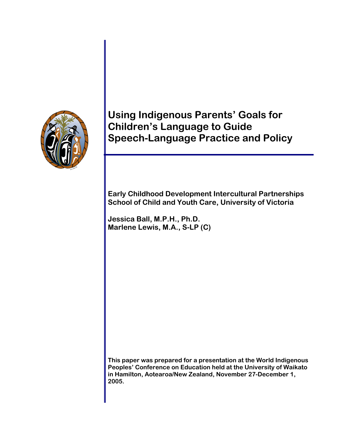

# **Using Indigenous Parents' Goals for Children's Language to Guide Speech-Language Practice and Policy**

**Early Childhood Development Intercultural Partnerships School of Child and Youth Care, University of Victoria** 

**Jessica Ball, M.P.H., Ph.D. Marlene Lewis, M.A., S-LP (C)**

**This paper was prepared for a presentation at the World Indigenous Peoples' Conference on Education held at the University of Waikato in Hamilton, Aotearoa/New Zealand, November 27-December 1, 2005.**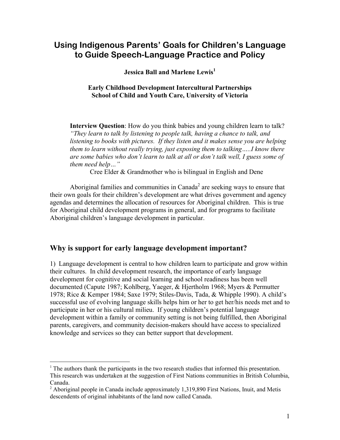## **Using Indigenous Parents' Goals for Children's Language to Guide Speech-Language Practice and Policy**

**Jessica Ball and Marlene Lewis<sup>1</sup>**

#### **Early Childhood Development Intercultural Partnerships School of Child and Youth Care, University of Victoria**

**Interview Question**: How do you think babies and young children learn to talk? *"They learn to talk by listening to people talk, having a chance to talk, and listening to books with pictures. If they listen and it makes sense you are helping them to learn without really trying, just exposing them to talking…..I know there are some babies who don't learn to talk at all or don't talk well, I guess some of them need help…"* 

Cree Elder & Grandmother who is bilingual in English and Dene

Aboriginal families and communities in Canada<sup>2</sup> are seeking ways to ensure that their own goals for their children's development are what drives government and agency agendas and determines the allocation of resources for Aboriginal children. This is true for Aboriginal child development programs in general, and for programs to facilitate Aboriginal children's language development in particular.

## **Why is support for early language development important?**

 $\overline{a}$ 

1) Language development is central to how children learn to participate and grow within their cultures. In child development research, the importance of early language development for cognitive and social learning and school readiness has been well documented (Capute 1987; Kohlberg, Yaeger, & Hjertholm 1968; Myers & Permutter 1978; Rice & Kemper 1984; Saxe 1979; Stiles-Davis, Tada, & Whipple 1990). A child's successful use of evolving language skills helps him or her to get her/his needs met and to participate in her or his cultural milieu. If young children's potential language development within a family or community setting is not being fulfilled, then Aboriginal parents, caregivers, and community decision-makers should have access to specialized knowledge and services so they can better support that development.

 $<sup>1</sup>$  The authors thank the participants in the two research studies that informed this presentation.</sup> This research was undertaken at the suggestion of First Nations communities in British Columbia, Canada.

 $2$  Aboriginal people in Canada include approximately 1,319,890 First Nations, Inuit, and Metis descendents of original inhabitants of the land now called Canada.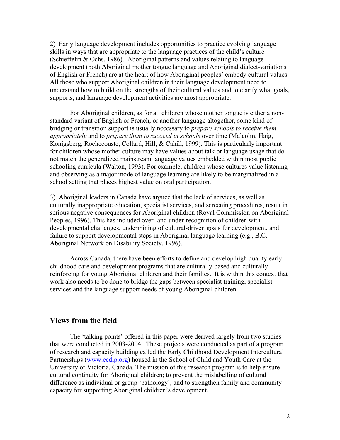2) Early language development includes opportunities to practice evolving language skills in ways that are appropriate to the language practices of the child's culture (Schieffelin & Ochs, 1986). Aboriginal patterns and values relating to language development (both Aboriginal mother tongue language and Aboriginal dialect-variations of English or French) are at the heart of how Aboriginal peoples' embody cultural values. All those who support Aboriginal children in their language development need to understand how to build on the strengths of their cultural values and to clarify what goals, supports, and language development activities are most appropriate.

For Aboriginal children, as for all children whose mother tongue is either a nonstandard variant of English or French, or another language altogether, some kind of bridging or transition support is usually necessary to *prepare schools to receive them appropriately* and to *prepare them to succeed in schools* over time (Malcolm, Haig, Konigsberg, Rochecouste, Collard, Hill, & Cahill, 1999). This is particularly important for children whose mother culture may have values about talk or language usage that do not match the generalized mainstream language values embedded within most public schooling curricula (Walton, 1993). For example, children whose cultures value listening and observing as a major mode of language learning are likely to be marginalized in a school setting that places highest value on oral participation.

3) Aboriginal leaders in Canada have argued that the lack of services, as well as culturally inappropriate education, specialist services, and screening procedures, result in serious negative consequences for Aboriginal children (Royal Commission on Aboriginal Peoples, 1996). This has included over- and under-recognition of children with developmental challenges, undermining of cultural-driven goals for development, and failure to support developmental steps in Aboriginal language learning (e.g., B.C. Aboriginal Network on Disability Society, 1996).

 Across Canada, there have been efforts to define and develop high quality early childhood care and development programs that are culturally-based and culturally reinforcing for young Aboriginal children and their families. It is within this context that work also needs to be done to bridge the gaps between specialist training, specialist services and the language support needs of young Aboriginal children.

### **Views from the field**

The 'talking points' offered in this paper were derived largely from two studies that were conducted in 2003-2004. These projects were conducted as part of a program of research and capacity building called the Early Childhood Development Intercultural Partnerships (www.ecdip.org) housed in the School of Child and Youth Care at the University of Victoria, Canada. The mission of this research program is to help ensure cultural continuity for Aboriginal children; to prevent the mislabelling of cultural difference as individual or group 'pathology'; and to strengthen family and community capacity for supporting Aboriginal children's development.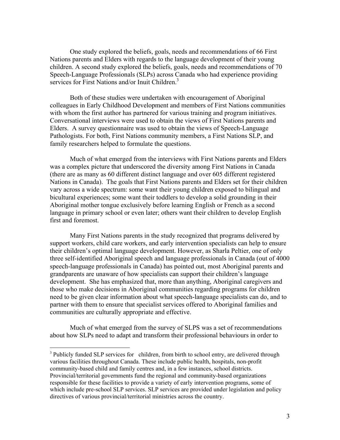One study explored the beliefs, goals, needs and recommendations of 66 First Nations parents and Elders with regards to the language development of their young children. A second study explored the beliefs, goals, needs and recommendations of 70 Speech-Language Professionals (SLPs) across Canada who had experience providing services for First Nations and/or Inuit Children.<sup>3</sup>

Both of these studies were undertaken with encouragement of Aboriginal colleagues in Early Childhood Development and members of First Nations communities with whom the first author has partnered for various training and program initiatives. Conversational interviews were used to obtain the views of First Nations parents and Elders. A survey questionnaire was used to obtain the views of Speech-Language Pathologists. For both, First Nations community members, a First Nations SLP, and family researchers helped to formulate the questions.

Much of what emerged from the interviews with First Nations parents and Elders was a complex picture that underscored the diversity among First Nations in Canada (there are as many as 60 different distinct language and over 605 different registered Nations in Canada). The goals that First Nations parents and Elders set for their children vary across a wide spectrum: some want their young children exposed to bilingual and bicultural experiences; some want their toddlers to develop a solid grounding in their Aboriginal mother tongue exclusively before learning English or French as a second language in primary school or even later; others want their children to develop English first and foremost.

Many First Nations parents in the study recognized that programs delivered by support workers, child care workers, and early intervention specialists can help to ensure their children's optimal language development. However, as Sharla Peltier, one of only three self-identified Aboriginal speech and language professionals in Canada (out of 4000 speech-language professionals in Canada) has pointed out, most Aboriginal parents and grandparents are unaware of how specialists can support their children's language development. She has emphasized that, more than anything, Aboriginal caregivers and those who make decisions in Aboriginal communities regarding programs for children need to be given clear information about what speech-language specialists can do, and to partner with them to ensure that specialist services offered to Aboriginal families and communities are culturally appropriate and effective.

 Much of what emerged from the survey of SLPS was a set of recommendations about how SLPs need to adapt and transform their professional behaviours in order to

1

 $3$  Publicly funded SLP services for children, from birth to school entry, are delivered through various facilities throughout Canada. These include public health, hospitals, non-profit community-based child and family centres and, in a few instances, school districts. Provincial/territorial governments fund the regional and community-based organizations responsible for these facilities to provide a variety of early intervention programs, some of which include pre-school SLP services. SLP services are provided under legislation and policy directives of various provincial/territorial ministries across the country.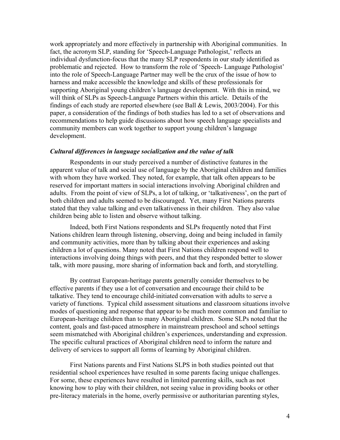work appropriately and more effectively in partnership with Aboriginal communities. In fact, the acronym SLP, standing for 'Speech-Language Pathologist,' reflects an individual dysfunction-focus that the many SLP respondents in our study identified as problematic and rejected. How to transform the role of 'Speech- Language Pathologist' into the role of Speech-Language Partner may well be the crux of the issue of how to harness and make accessible the knowledge and skills of these professionals for supporting Aboriginal young children's language development. With this in mind, we will think of SLPs as Speech-Language Partners within this article. Details of the findings of each study are reported elsewhere (see Ball & Lewis, 2003/2004). For this paper, a consideration of the findings of both studies has led to a set of observations and recommendations to help guide discussions about how speech language specialists and community members can work together to support young children's language development.

#### *Cultural differences in language socialization and the value of talk*

 Respondents in our study perceived a number of distinctive features in the apparent value of talk and social use of language by the Aboriginal children and families with whom they have worked. They noted, for example, that talk often appears to be reserved for important matters in social interactions involving Aboriginal children and adults. From the point of view of SLPs, a lot of talking, or 'talkativeness', on the part of both children and adults seemed to be discouraged. Yet, many First Nations parents stated that they value talking and even talkativeness in their children. They also value children being able to listen and observe without talking.

 Indeed, both First Nations respondents and SLPs frequently noted that First Nations children learn through listening, observing, doing and being included in family and community activities, more than by talking about their experiences and asking children a lot of questions. Many noted that First Nations children respond well to interactions involving doing things with peers, and that they responded better to slower talk, with more pausing, more sharing of information back and forth, and storytelling.

 By contrast European-heritage parents generally consider themselves to be effective parents if they use a lot of conversation and encourage their child to be talkative. They tend to encourage child-initiated conversation with adults to serve a variety of functions. Typical child assessment situations and classroom situations involve modes of questioning and response that appear to be much more common and familiar to European-heritage children than to many Aboriginal children. Some SLPs noted that the content, goals and fast-paced atmosphere in mainstream preschool and school settings seem mismatched with Aboriginal children's experiences, understanding and expression. The specific cultural practices of Aboriginal children need to inform the nature and delivery of services to support all forms of learning by Aboriginal children.

 First Nations parents and First Nations SLPS in both studies pointed out that residential school experiences have resulted in some parents facing unique challenges. For some, these experiences have resulted in limited parenting skills, such as not knowing how to play with their children, not seeing value in providing books or other pre-literacy materials in the home, overly permissive or authoritarian parenting styles,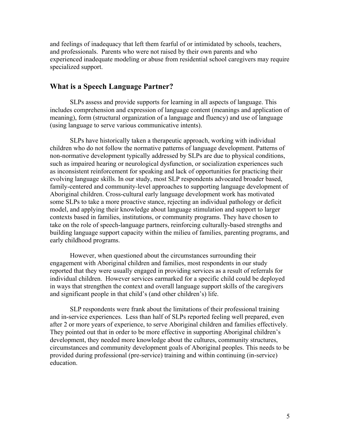and feelings of inadequacy that left them fearful of or intimidated by schools, teachers, and professionals. Parents who were not raised by their own parents and who experienced inadequate modeling or abuse from residential school caregivers may require specialized support.

## **What is a Speech Language Partner?**

 SLPs assess and provide supports for learning in all aspects of language. This includes comprehension and expression of language content (meanings and application of meaning), form (structural organization of a language and fluency) and use of language (using language to serve various communicative intents).

 SLPs have historically taken a therapeutic approach, working with individual children who do not follow the normative patterns of language development. Patterns of non-normative development typically addressed by SLPs are due to physical conditions, such as impaired hearing or neurological dysfunction, or socialization experiences such as inconsistent reinforcement for speaking and lack of opportunities for practicing their evolving language skills. In our study, most SLP respondents advocated broader based, family-centered and community-level approaches to supporting language development of Aboriginal children. Cross-cultural early language development work has motivated some SLPs to take a more proactive stance, rejecting an individual pathology or deficit model, and applying their knowledge about language stimulation and support to larger contexts based in families, institutions, or community programs. They have chosen to take on the role of speech-language partners, reinforcing culturally-based strengths and building language support capacity within the milieu of families, parenting programs, and early childhood programs.

 However, when questioned about the circumstances surrounding their engagement with Aboriginal children and families, most respondents in our study reported that they were usually engaged in providing services as a result of referrals for individual children. However services earmarked for a specific child could be deployed in ways that strengthen the context and overall language support skills of the caregivers and significant people in that child's (and other children's) life.

 SLP respondents were frank about the limitations of their professional training and in-service experiences. Less than half of SLPs reported feeling well prepared, even after 2 or more years of experience, to serve Aboriginal children and families effectively. They pointed out that in order to be more effective in supporting Aboriginal children's development, they needed more knowledge about the cultures, community structures, circumstances and community development goals of Aboriginal peoples. This needs to be provided during professional (pre-service) training and within continuing (in-service) education.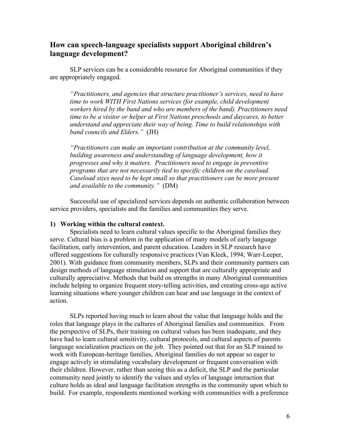## **How can speech-language specialists support Aboriginal children's language development?**

SLP services can be a considerable resource for Aboriginal communities if they are appropriately engaged.

*"Practitioners, and agencies that structure practitioner's services, need to have time to work WITH First Nations services (for example, child development workers hired by the band and who are members of the band). Practitioners need time to be a visitor or helper at First Nations preschools and daycares, to better understand and appreciate their way of being. Time to build relationships with band councils and Elders."* (JH)

*"Practitioners can make an important contribution at the community level, building awareness and understanding of language development, how it progresses and why it matters. Practitioners need to engage in preventive programs that are not necessarily tied to specific children on the caseload. Caseload sizes need to be kept small so that practitioners can be more present and available to the community."* (DM)

 Successful use of specialized services depends on authentic collaboration between service providers, specialists and the families and communities they serve.

#### **1) Working within the cultural context.**

Specialists need to learn cultural values specific to the Aboriginal families they serve. Cultural bias is a problem in the application of many models of early language facilitation, early intervention, and parent education. Leaders in SLP research have offered suggestions for culturally responsive practices (Van Kleek, 1994; Warr-Leeper, 2001). With guidance from community members, SLPs and their community partners can design methods of language stimulation and support that are culturally appropriate and culturally appreciative. Methods that build on strengths in many Aboriginal communities include helping to organize frequent story-telling activities, and creating cross-age active learning situations where younger children can hear and use language in the context of action.

 SLPs reported having much to learn about the value that language holds and the roles that language plays in the cultures of Aboriginal families and communities. From the perspective of SLPs, their training on cultural values has been inadequate, and they have had to learn cultural sensitivity, cultural protocols, and cultural aspects of parents language socialization practices on the job. They pointed out that for an SLP trained to work with European-heritage families, Aboriginal families do not appear so eager to engage actively in stimulating vocabulary development or frequent conversation with their children. However, rather than seeing this as a deficit, the SLP and the particular community need jointly to identify the values and styles of language interaction that culture holds as ideal and language facilitation strengths in the community upon which to build. For example, respondents mentioned working with communities with a preference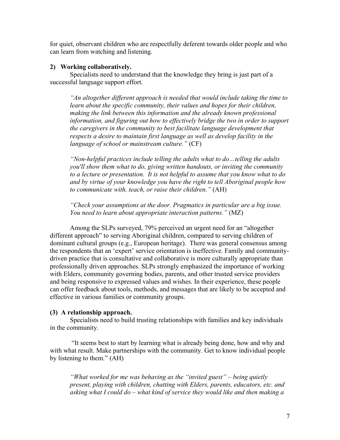for quiet, observant children who are respectfully deferent towards older people and who can learn from watching and listening.

#### **2) Working collaboratively.**

Specialists need to understand that the knowledge they bring is just part of a successful language support effort.

*"An altogether different approach is needed that would include taking the time to learn about the specific community, their values and hopes for their children, making the link between this information and the already known professional information, and figuring out how to effectively bridge the two in order to support the caregivers in the community to best facilitate language development that respects a desire to maintain first language as well as develop facility in the language of school or mainstream culture."* (CF)

*"Non-helpful practices include telling the adults what to do…telling the adults you'll show them what to do, giving written handouts, or inviting the community to a lecture or presentation. It is not helpful to assume that you know what to do and by virtue of your knowledge you have the right to tell Aboriginal people how to communicate with, teach, or raise their children."* (AH)

*"Check your assumptions at the door. Pragmatics in particular are a big issue. You need to learn about appropriate interaction patterns."* (MZ)

 Among the SLPs surveyed, 79% perceived an urgent need for an "altogether different approach" to serving Aboriginal children, compared to serving children of dominant cultural groups (e.g., European heritage). There was general consensus among the respondents that an 'expert' service orientation is ineffective. Family and communitydriven practice that is consultative and collaborative is more culturally appropriate than professionally driven approaches. SLPs strongly emphasized the importance of working with Elders, community governing bodies, parents, and other trusted service providers and being responsive to expressed values and wishes. In their experience, these people can offer feedback about tools, methods, and messages that are likely to be accepted and effective in various families or community groups.

#### **(3) A relationship approach.**

Specialists need to build trusting relationships with families and key individuals in the community.

 "It seems best to start by learning what is already being done, how and why and with what result. Make partnerships with the community. Get to know individual people by listening to them." (AH)

*"What worked for me was behaving as the "invited guest" – being quietly present, playing with children, chatting with Elders, parents, educators, etc. and asking what I could do – what kind of service they would like and then making a*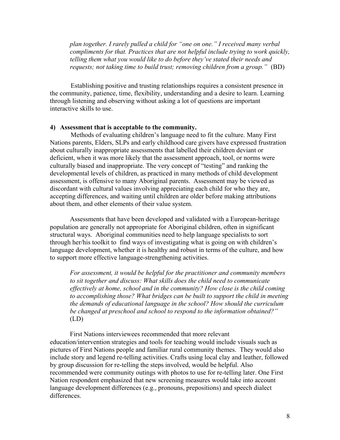*plan together. I rarely pulled a child for "one on one." I received many verbal compliments for that. Practices that are not helpful include trying to work quickly, telling them what you would like to do before they've stated their needs and requests; not taking time to build trust; removing children from a group."* (BD)

Establishing positive and trusting relationships requires a consistent presence in the community, patience, time, flexibility, understanding and a desire to learn. Learning through listening and observing without asking a lot of questions are important interactive skills to use.

#### **4) Assessment that is acceptable to the community.**

 Methods of evaluating children's language need to fit the culture. Many First Nations parents, Elders, SLPs and early childhood care givers have expressed frustration about culturally inappropriate assessments that labelled their children deviant or deficient, when it was more likely that the assessment approach, tool, or norms were culturally biased and inappropriate. The very concept of "testing" and ranking the developmental levels of children, as practiced in many methods of child development assessment, is offensive to many Aboriginal parents. Assessment may be viewed as discordant with cultural values involving appreciating each child for who they are, accepting differences, and waiting until children are older before making attributions about them, and other elements of their value system.

 Assessments that have been developed and validated with a European-heritage population are generally not appropriate for Aboriginal children, often in significant structural ways. Aboriginal communities need to help language specialists to sort through her/his toolkit to find ways of investigating what is going on with children's language development, whether it is healthy and robust in terms of the culture, and how to support more effective language-strengthening activities.

*For assessment, it would be helpful for the practitioner and community members to sit together and discuss: What skills does the child need to communicate effectively at home, school and in the community? How close is the child coming to accomplishing those? What bridges can be built to support the child in meeting the demands of educational language in the school? How should the curriculum be changed at preschool and school to respond to the information obtained?"* (LD)

 First Nations interviewees recommended that more relevant education/intervention strategies and tools for teaching would include visuals such as pictures of First Nations people and familiar rural community themes. They would also include story and legend re-telling activities. Crafts using local clay and leather, followed by group discussion for re-telling the steps involved, would be helpful. Also recommended were community outings with photos to use for re-telling later. One First Nation respondent emphasized that new screening measures would take into account language development differences (e.g., pronouns, prepositions) and speech dialect differences.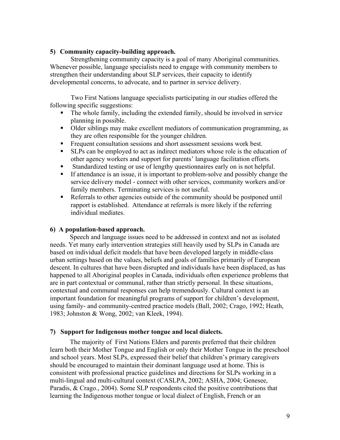#### **5) Community capacity-building approach.**

Strengthening community capacity is a goal of many Aboriginal communities. Whenever possible, language specialists need to engage with community members to strengthen their understanding about SLP services, their capacity to identify developmental concerns, to advocate, and to partner in service delivery.

Two First Nations language specialists participating in our studies offered the following specific suggestions:

- The whole family, including the extended family, should be involved in service planning in possible.
- Older siblings may make excellent mediators of communication programming, as they are often responsible for the younger children.
- Frequent consultation sessions and short assessment sessions work best.
- SLPs can be employed to act as indirect mediators whose role is the education of other agency workers and support for parents' language facilitation efforts.
- Standardized testing or use of lengthy questionnaires early on is not helpful.
- If attendance is an issue, it is important to problem-solve and possibly change the service delivery model - connect with other services, community workers and/or family members. Terminating services is not useful.
- Referrals to other agencies outside of the community should be postponed until rapport is established. Attendance at referrals is more likely if the referring individual mediates.

#### **6) A population-based approach.**

Speech and language issues need to be addressed in context and not as isolated needs. Yet many early intervention strategies still heavily used by SLPs in Canada are based on individual deficit models that have been developed largely in middle-class urban settings based on the values, beliefs and goals of families primarily of European descent. In cultures that have been disrupted and individuals have been displaced, as has happened to all Aboriginal peoples in Canada, individuals often experience problems that are in part contextual or communal, rather than strictly personal. In these situations, contextual and communal responses can help tremendously. Cultural context is an important foundation for meaningful programs of support for children's development, using family- and community-centred practice models (Ball, 2002; Crago, 1992; Heath, 1983; Johnston & Wong, 2002; van Kleek, 1994).

#### **7) Support for Indigenous mother tongue and local dialects.**

 The majority of First Nations Elders and parents preferred that their children learn both their Mother Tongue and English or only their Mother Tongue in the preschool and school years. Most SLPs, expressed their belief that children's primary caregivers should be encouraged to maintain their dominant language used at home. This is consistent with professional practice guidelines and directions for SLPs working in a multi-lingual and multi-cultural context (CASLPA, 2002; ASHA, 2004; Genesee, Paradis, & Crago., 2004). Some SLP respondents cited the positive contributions that learning the Indigenous mother tongue or local dialect of English, French or an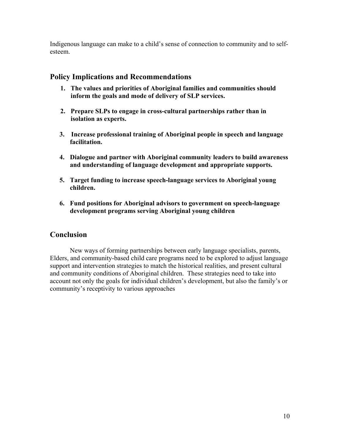Indigenous language can make to a child's sense of connection to community and to selfesteem.

## **Policy Implications and Recommendations**

- **1. The values and priorities of Aboriginal families and communities should inform the goals and mode of delivery of SLP services.**
- **2. Prepare SLPs to engage in cross-cultural partnerships rather than in isolation as experts.**
- **3. Increase professional training of Aboriginal people in speech and language facilitation.**
- **4. Dialogue and partner with Aboriginal community leaders to build awareness and understanding of language development and appropriate supports.**
- **5. Target funding to increase speech-language services to Aboriginal young children.**
- **6. Fund positions for Aboriginal advisors to government on speech-language development programs serving Aboriginal young children**

## **Conclusion**

New ways of forming partnerships between early language specialists, parents, Elders, and community-based child care programs need to be explored to adjust language support and intervention strategies to match the historical realities, and present cultural and community conditions of Aboriginal children. These strategies need to take into account not only the goals for individual children's development, but also the family's or community's receptivity to various approaches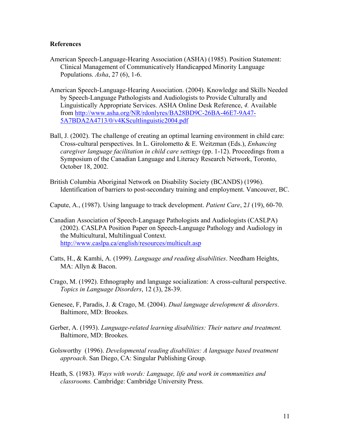#### **References**

- American Speech-Language-Hearing Association (ASHA) (1985). Position Statement: Clinical Management of Communicatively Handicapped Minority Language Populations. *Asha*, 27 (6), 1-6.
- American Speech-Language-Hearing Association. (2004). Knowledge and Skills Needed by Speech-Language Pathologists and Audiologists to Provide Culturally and Linguistically Appropriate Services. ASHA Online Desk Reference, *4.* Available from http://www.asha.org/NR/rdonlyres/BA28BD9C-26BA-46E7-9A47- 5A7BDA2A4713/0/v4KScultlinguistic2004.pdf
- Ball, J. (2002). The challenge of creating an optimal learning environment in child care: Cross-cultural perspectives. In L. Girolometto & E. Weitzman (Eds.), *Enhancing caregiver language facilitation in child care settings* (pp. 1-12). Proceedings from a Symposium of the Canadian Language and Literacy Research Network, Toronto, October 18, 2002.
- British Columbia Aboriginal Network on Disability Society (BCANDS) (1996). Identification of barriers to post-secondary training and employment. Vancouver, BC.

Capute, A., (1987). Using language to track development. *Patient Care*, 2*1* (19), 60-70.

- Canadian Association of Speech-Language Pathologists and Audiologists (CASLPA) (2002). CASLPA Position Paper on Speech-Language Pathology and Audiology in the Multicultural, Multilingual Context. http://www.caslpa.ca/english/resources/multicult.asp
- Catts, H., & Kamhi, A. (1999). *Language and reading disabilities*. Needham Heights, MA: Allyn & Bacon.
- Crago, M. (1992). Ethnography and language socialization: A cross-cultural perspective. *Topics in Language Disorders*, 12 (3), 28-39.
- Genesee, F, Paradis, J. & Crago, M. (2004). *Dual language development & disorders*. Baltimore, MD: Brookes.
- Gerber, A. (1993). *Language-related learning disabilities: Their nature and treatment.* Baltimore, MD: Brookes.
- Golsworthy (1996). *Developmental reading disabilities: A language based treatment approach*. San Diego, CA: Singular Publishing Group.
- Heath, S. (1983). *Ways with words: Language, life and work in communities and classrooms.* Cambridge: Cambridge University Press.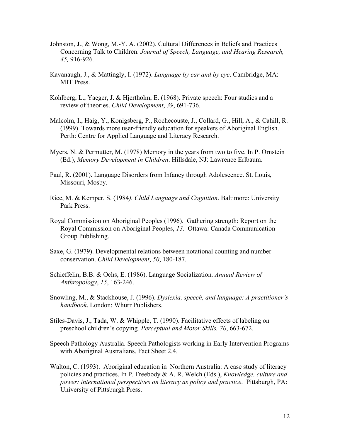- Johnston, J., & Wong, M.-Y. A. (2002). Cultural Differences in Beliefs and Practices Concerning Talk to Children. *Journal of Speech, Language, and Hearing Research, 45,* 916-926*.*
- Kavanaugh, J., & Mattingly, I. (1972). *Language by ear and by eye*. Cambridge, MA: MIT Press.
- Kohlberg, L., Yaeger, J. & Hjertholm, E. (1968). Private speech: Four studies and a review of theories. *Child Development*, *39*, 691-736.
- Malcolm, I., Haig, Y., Konigsberg, P., Rochecouste, J., Collard, G., Hill, A., & Cahill, R. (1999). Towards more user-friendly education for speakers of Aboriginal English. Perth: Centre for Applied Language and Literacy Research.
- Myers, N. & Permutter, M. (1978) Memory in the years from two to five. In P. Ornstein (Ed.), *Memory Development in Children*. Hillsdale, NJ: Lawrence Erlbaum.
- Paul, R. (2001). Language Disorders from Infancy through Adolescence. St. Louis, Missouri, Mosby.
- Rice, M. & Kemper, S. (1984*). Child Language and Cognition*. Baltimore: University Park Press.
- Royal Commission on Aboriginal Peoples (1996). Gathering strength: Report on the Royal Commission on Aboriginal Peoples, *13*. Ottawa: Canada Communication Group Publishing.
- Saxe, G. (1979). Developmental relations between notational counting and number conservation. *Child Development*, *50*, 180-187.
- Schieffelin, B.B. & Ochs, E. (1986). Language Socialization. *Annual Review of Anthropology*, *15*, 163-246.
- Snowling, M., & Stackhouse, J. (1996). *Dyslexia, speech, and language: A practitioner's handbook*. London: Whurr Publishers.
- Stiles-Davis, J., Tada, W. & Whipple, T. (1990). Facilitative effects of labeling on preschool children's copying*. Perceptual and Motor Skills, 70*, 663-672.
- Speech Pathology Australia. Speech Pathologists working in Early Intervention Programs with Aboriginal Australians. Fact Sheet 2.4.
- Walton, C. (1993). Aboriginal education in Northern Australia: A case study of literacy policies and practices. In P. Freebody & A. R. Welch (Eds.), *Knowledge, culture and power: international perspectives on literacy as policy and practice*. Pittsburgh, PA: University of Pittsburgh Press.